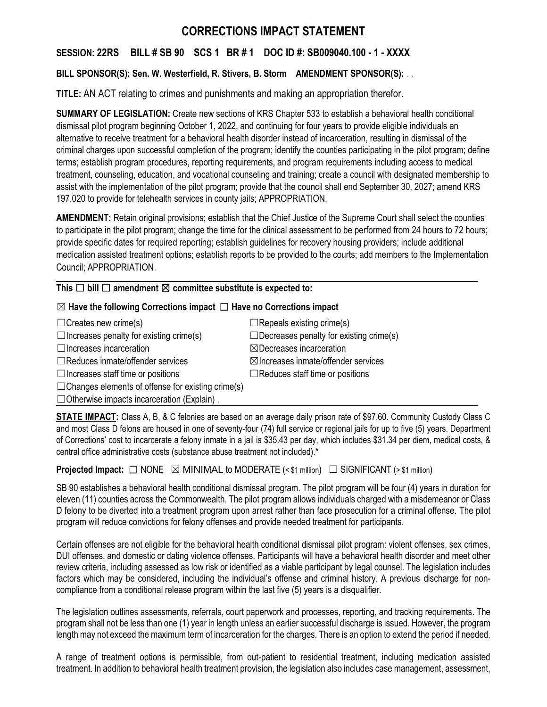# **CORRECTIONS IMPACT STATEMENT**

# **SESSION: 22RS BILL # SB 90 SCS 1 BR # 1 DOC ID #: SB009040.100 - 1 - XXXX**

# **BILL SPONSOR(S): Sen. W. Westerfield, R. Stivers, B. Storm AMENDMENT SPONSOR(S):** . .

**TITLE:** AN ACT relating to crimes and punishments and making an appropriation therefor.

**SUMMARY OF LEGISLATION:** Create new sections of KRS Chapter 533 to establish a behavioral health conditional dismissal pilot program beginning October 1, 2022, and continuing for four years to provide eligible individuals an alternative to receive treatment for a behavioral health disorder instead of incarceration, resulting in dismissal of the criminal charges upon successful completion of the program; identify the counties participating in the pilot program; define terms; establish program procedures, reporting requirements, and program requirements including access to medical treatment, counseling, education, and vocational counseling and training; create a council with designated membership to assist with the implementation of the pilot program; provide that the council shall end September 30, 2027; amend KRS 197.020 to provide for telehealth services in county jails; APPROPRIATION.

**AMENDMENT:** Retain original provisions; establish that the Chief Justice of the Supreme Court shall select the counties to participate in the pilot program; change the time for the clinical assessment to be performed from 24 hours to 72 hours; provide specific dates for required reporting; establish guidelines for recovery housing providers; include additional medication assisted treatment options; establish reports to be provided to the courts; add members to the Implementation Council; APPROPRIATION.

## **This** ☐ **bill** ☐ **amendment** ☒ **committee substitute is expected to:**

## ☒ **Have the following Corrections impact** ☐ **Have no Corrections impact**

 $\Box$ Creates new crime(s)  $\Box$ Repeals existing crime(s)  $\Box$ Increases penalty for existing crime(s)  $\Box$ Decreases penalty for existing crime(s) ☐Increases incarceration ☒Decreases incarceration ☐Reduces inmate/offender services ☒Increases inmate/offender services ☐Increases staff time or positions ☐Reduces staff time or positions  $\Box$ Changes elements of offense for existing crime(s)

 $\Box$  Otherwise impacts incarceration (Explain).

**STATE IMPACT:** Class A, B, & C felonies are based on an average daily prison rate of \$97.60. Community Custody Class C and most Class D felons are housed in one of seventy-four (74) full service or regional jails for up to five (5) years. Department of Corrections' cost to incarcerate a felony inmate in a jail is \$35.43 per day, which includes \$31.34 per diem, medical costs, & central office administrative costs (substance abuse treatment not included).\*

**Projected Impact:**  $\Box$  NONE  $\boxtimes$  MINIMAL to MODERATE (< \$1 million)  $\Box$  SIGNIFICANT (> \$1 million)

SB 90 establishes a behavioral health conditional dismissal program. The pilot program will be four (4) years in duration for eleven (11) counties across the Commonwealth. The pilot program allows individuals charged with a misdemeanor or Class D felony to be diverted into a treatment program upon arrest rather than face prosecution for a criminal offense. The pilot program will reduce convictions for felony offenses and provide needed treatment for participants.

Certain offenses are not eligible for the behavioral health conditional dismissal pilot program: violent offenses, sex crimes, DUI offenses, and domestic or dating violence offenses. Participants will have a behavioral health disorder and meet other review criteria, including assessed as low risk or identified as a viable participant by legal counsel. The legislation includes factors which may be considered, including the individual's offense and criminal history. A previous discharge for noncompliance from a conditional release program within the last five (5) years is a disqualifier.

The legislation outlines assessments, referrals, court paperwork and processes, reporting, and tracking requirements. The program shall not be less than one (1) year in length unless an earlier successful discharge is issued. However, the program length may not exceed the maximum term of incarceration for the charges. There is an option to extend the period if needed.

A range of treatment options is permissible, from out-patient to residential treatment, including medication assisted treatment. In addition to behavioral health treatment provision, the legislation also includes case management, assessment,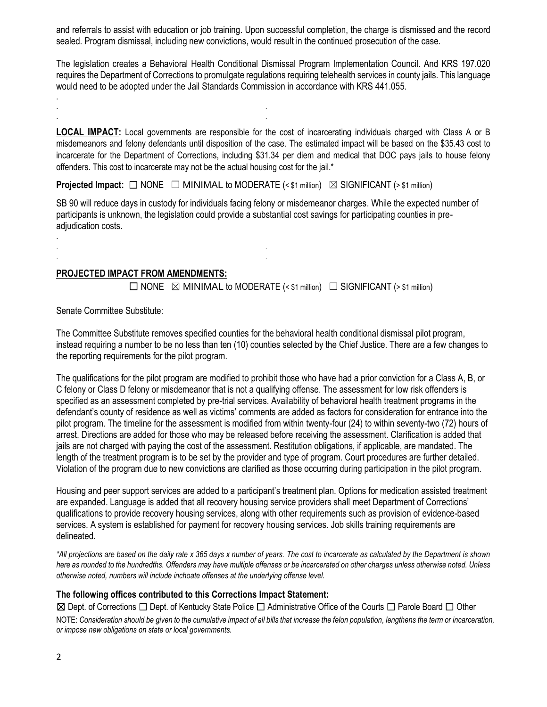and referrals to assist with education or job training. Upon successful completion, the charge is dismissed and the record sealed. Program dismissal, including new convictions, would result in the continued prosecution of the case.

The legislation creates a Behavioral Health Conditional Dismissal Program Implementation Council. And KRS 197.020 requires the Department of Corrections to promulgate regulations requiring telehealth services in county jails. This language would need to be adopted under the Jail Standards Commission in accordance with KRS 441.055.

**LOCAL IMPACT:** Local governments are responsible for the cost of incarcerating individuals charged with Class A or B misdemeanors and felony defendants until disposition of the case. The estimated impact will be based on the \$35.43 cost to incarcerate for the Department of Corrections, including \$31.34 per diem and medical that DOC pays jails to house felony offenders. This cost to incarcerate may not be the actual housing cost for the jail.\*

**Projected Impact:**  $\Box$  NONE  $\Box$  MINIMAL to MODERATE (< \$1 million)  $\boxtimes$  SIGNIFICANT (> \$1 million)

SB 90 will reduce days in custody for individuals facing felony or misdemeanor charges. While the expected number of participants is unknown, the legislation could provide a substantial cost savings for participating counties in preadjudication costs.

#### **PROJECTED IMPACT FROM AMENDMENTS:**

. . . .

. . . .

 $\Box$  NONE  $\boxtimes$  MINIMAL to MODERATE (< \$1 million)  $\Box$  SIGNIFICANT (> \$1 million)

Senate Committee Substitute:

.

.

The Committee Substitute removes specified counties for the behavioral health conditional dismissal pilot program, instead requiring a number to be no less than ten (10) counties selected by the Chief Justice. There are a few changes to the reporting requirements for the pilot program.

The qualifications for the pilot program are modified to prohibit those who have had a prior conviction for a Class A, B, or C felony or Class D felony or misdemeanor that is not a qualifying offense. The assessment for low risk offenders is specified as an assessment completed by pre-trial services. Availability of behavioral health treatment programs in the defendant's county of residence as well as victims' comments are added as factors for consideration for entrance into the pilot program. The timeline for the assessment is modified from within twenty-four (24) to within seventy-two (72) hours of arrest. Directions are added for those who may be released before receiving the assessment. Clarification is added that jails are not charged with paying the cost of the assessment. Restitution obligations, if applicable, are mandated. The length of the treatment program is to be set by the provider and type of program. Court procedures are further detailed. Violation of the program due to new convictions are clarified as those occurring during participation in the pilot program.

Housing and peer support services are added to a participant's treatment plan. Options for medication assisted treatment are expanded. Language is added that all recovery housing service providers shall meet Department of Corrections' qualifications to provide recovery housing services, along with other requirements such as provision of evidence-based services. A system is established for payment for recovery housing services. Job skills training requirements are delineated.

*\*All projections are based on the daily rate x 365 days x number of years. The cost to incarcerate as calculated by the Department is shown here as rounded to the hundredths. Offenders may have multiple offenses or be incarcerated on other charges unless otherwise noted. Unless otherwise noted, numbers will include inchoate offenses at the underlying offense level.*

#### **The following offices contributed to this Corrections Impact Statement:**

☒ Dept. of Corrections ☐ Dept. of Kentucky State Police ☐ Administrative Office of the Courts ☐ Parole Board ☐ Other NOTE: *Consideration should be given to the cumulative impact of all bills that increase the felon population, lengthens the term or incarceration, or impose new obligations on state or local governments.*